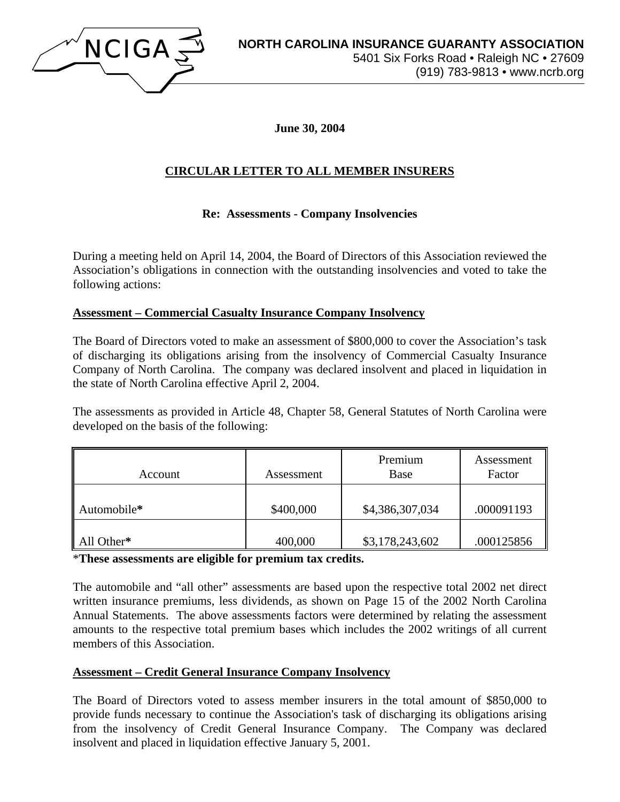

**June 30, 2004** 

# **CIRCULAR LETTER TO ALL MEMBER INSURERS**

## **Re: Assessments - Company Insolvencies**

During a meeting held on April 14, 2004, the Board of Directors of this Association reviewed the Association's obligations in connection with the outstanding insolvencies and voted to take the following actions:

### **Assessment – Commercial Casualty Insurance Company Insolvency**

The Board of Directors voted to make an assessment of \$800,000 to cover the Association's task of discharging its obligations arising from the insolvency of Commercial Casualty Insurance Company of North Carolina. The company was declared insolvent and placed in liquidation in the state of North Carolina effective April 2, 2004.

The assessments as provided in Article 48, Chapter 58, General Statutes of North Carolina were developed on the basis of the following:

| Account     | Assessment | Premium<br><b>Base</b> | Assessment<br>Factor |
|-------------|------------|------------------------|----------------------|
| Automobile* | \$400,000  | \$4,386,307,034        | .000091193           |
| All Other*  | 400,000    | \$3,178,243,602        | .000125856           |

\***These assessments are eligible for premium tax credits.** 

The automobile and "all other" assessments are based upon the respective total 2002 net direct written insurance premiums, less dividends, as shown on Page 15 of the 2002 North Carolina Annual Statements. The above assessments factors were determined by relating the assessment amounts to the respective total premium bases which includes the 2002 writings of all current members of this Association.

#### **Assessment – Credit General Insurance Company Insolvency**

The Board of Directors voted to assess member insurers in the total amount of \$850,000 to provide funds necessary to continue the Association's task of discharging its obligations arising from the insolvency of Credit General Insurance Company. The Company was declared insolvent and placed in liquidation effective January 5, 2001.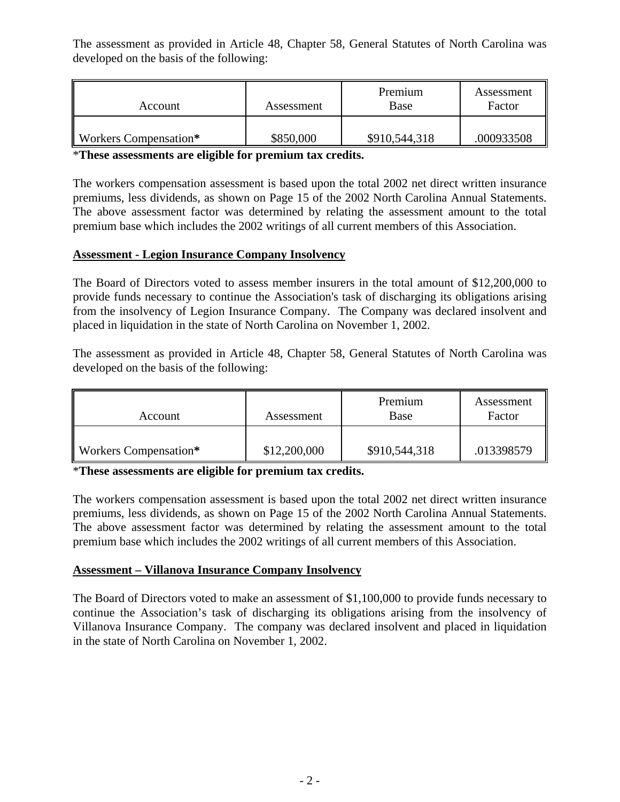The assessment as provided in Article 48, Chapter 58, General Statutes of North Carolina was developed on the basis of the following:

| Account               | Assessment | Premium<br>Base | Assessment<br>Factor |
|-----------------------|------------|-----------------|----------------------|
| Workers Compensation* | \$850,000  | \$910,544,318   | .000933508           |

\***These assessments are eligible for premium tax credits.** 

The workers compensation assessment is based upon the total 2002 net direct written insurance premiums, less dividends, as shown on Page 15 of the 2002 North Carolina Annual Statements. The above assessment factor was determined by relating the assessment amount to the total premium base which includes the 2002 writings of all current members of this Association.

#### **Assessment - Legion Insurance Company Insolvency**

The Board of Directors voted to assess member insurers in the total amount of \$12,200,000 to provide funds necessary to continue the Association's task of discharging its obligations arising from the insolvency of Legion Insurance Company. The Company was declared insolvent and placed in liquidation in the state of North Carolina on November 1, 2002.

The assessment as provided in Article 48, Chapter 58, General Statutes of North Carolina was developed on the basis of the following:

| Account               | Assessment   | Premium<br>Base | Assessment<br>Factor |
|-----------------------|--------------|-----------------|----------------------|
| Workers Compensation* | \$12,200,000 | \$910,544,318   | .013398579           |

\***These assessments are eligible for premium tax credits.** 

The workers compensation assessment is based upon the total 2002 net direct written insurance premiums, less dividends, as shown on Page 15 of the 2002 North Carolina Annual Statements. The above assessment factor was determined by relating the assessment amount to the total premium base which includes the 2002 writings of all current members of this Association.

#### **Assessment – Villanova Insurance Company Insolvency**

The Board of Directors voted to make an assessment of \$1,100,000 to provide funds necessary to continue the Association's task of discharging its obligations arising from the insolvency of Villanova Insurance Company. The company was declared insolvent and placed in liquidation in the state of North Carolina on November 1, 2002.